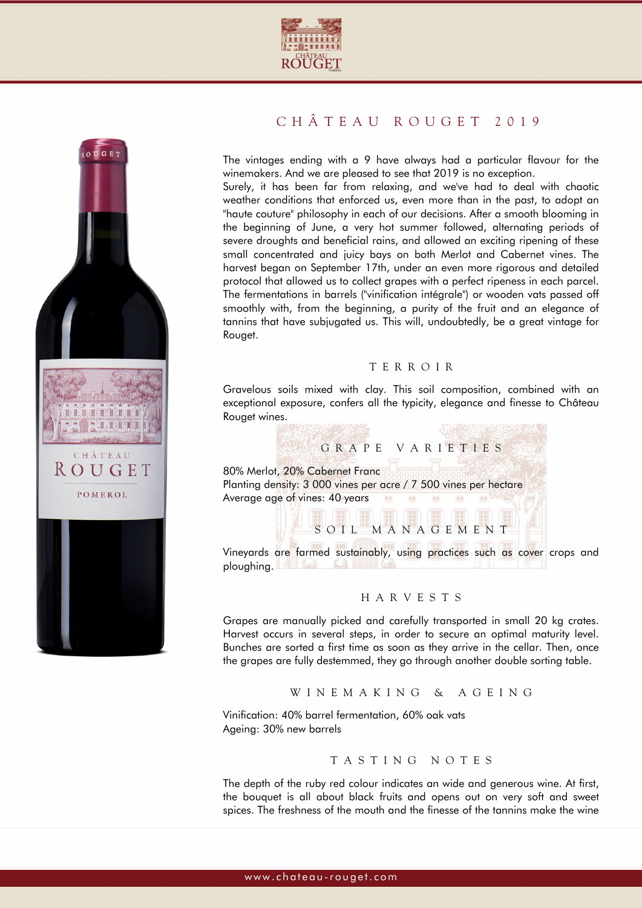



# CHÂTEAU ROUGET 2019

The vintages ending with a 9 have always had a particular flavour for the winemakers. And we are pleased to see that 2019 is no exception.

Surely, it has been far from relaxing, and we've had to deal with chaotic weather conditions that enforced us, even more than in the past, to adopt an "haute couture" philosophy in each of our decisions. After a smooth blooming in the beginning of June, a very hot summer followed, alternating periods of severe droughts and beneficial rains, and allowed an exciting ripening of these small concentrated and juicy bays on both Merlot and Cabernet vines. The harvest began on September 17th, under an even more rigorous and detailed protocol that allowed us to collect grapes with a perfect ripeness in each parcel. The fermentations in barrels ("vinification intégrale") or wooden vats passed off smoothly with, from the beginning, a purity of the fruit and an elegance of tannins that have subjugated us. This will, undoubtedly, be a great vintage for Rouget.

#### TERROIR

Gravelous soils mixed with clay. This soil composition, combined with an exceptional exposure, confers all the typicity, elegance and finesse to Château Rouget wines.



### HARVESTS

Grapes are manually picked and carefully transported in small 20 kg crates. Harvest occurs in several steps, in order to secure an optimal maturity level. Bunches are sorted a first time as soon as they arrive in the cellar. Then, once the grapes are fully destemmed, they go through another double sorting table.

#### WINEMAKING & AGEING

Vinification: 40% barrel fermentation, 60% oak vats Ageing: 30% new barrels

## TASTING NOTES

The depth of the ruby red colour indicates an wide and generous wine. At first, the bouquet is all about black fruits and opens out on very soft and sweet spices. The freshness of the mouth and the finesse of the tannins make the wine